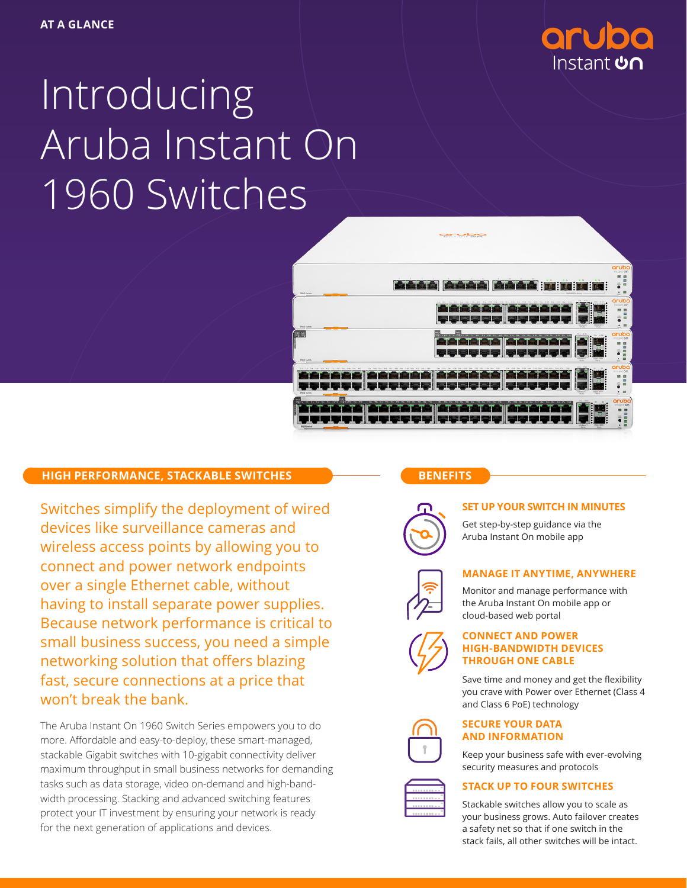

# Introducing Aruba Instant On 1960 Switches

|                                                                                                                                                    |                                                                                                                                                                                   |                                                                 | aruba<br>instant on<br>図<br>$\overline{a}$<br>震<br><b>m</b>                                                    |
|----------------------------------------------------------------------------------------------------------------------------------------------------|-----------------------------------------------------------------------------------------------------------------------------------------------------------------------------------|-----------------------------------------------------------------|----------------------------------------------------------------------------------------------------------------|
| Boat Boot South Boat<br>1960 Switch                                                                                                                | Book Song Song<br><b>External and State</b><br>10GM SFP + Perfu<br>the with the with the with the with its with the wife<br>14 V2 24 V6<br>SA VA<br><b>FA VA</b><br><b>FA W10</b> | <b>EN EN :</b><br>$25a = 24$                                    | ö<br>$\mathbf{m}$<br>$\therefore$<br>aruba<br>Instant on                                                       |
| 1960 Swings                                                                                                                                        |                                                                                                                                                                                   | H<br>:<br>Party<br>Party.                                       | EN.<br>B<br>٠<br>$\frac{1}{2}$ =<br>$\cdot$ m<br>÷.                                                            |
| 简简                                                                                                                                                 | <b>Barrows</b><br>TA WE WA WE WA WE WA WIN<br>15A WIS 17A WIS 19A W20 21A W22 25A W24                                                                                             | B<br>EГ                                                         | aruba<br>Instant on<br>需<br>$\overline{a}$<br>酉<br>$\ddot{\bullet}$<br>$\equiv$                                |
| 1960 Switch<br>14.72<br><b>YA</b><br>FA FA FA FUR TIA<br><b>Will</b><br>19.4<br>Vill Ha VII Ha<br>V24<br>75.4<br><b>WILE</b><br>12.4<br><b>TIL</b> | Val als Van als Van als Van<br>Va0 sin<br><b>Y28</b>                                                                                                                              |                                                                 | $\blacksquare$<br>$\mathbf{m}$<br>$\cdot$<br>aruba<br>Instant on                                               |
| 1960 Switch                                                                                                                                        | <b>Provident Control</b>                                                                                                                                                          | H<br><b>NGAE SFP+</b><br><b>COLLECTION</b>                      | $\mathcal{R}^{\mathcal{S}}$<br><b>ES</b><br>$\equiv$<br>$\ddot{\bullet}$<br>$\equiv$<br>$\cdot$ $\equiv$<br>÷. |
| VA SA VS PAVE OF RAVIS<br><br>$\rightarrow$<br>$\mathbf{r}$                                                                                        | val als vas als vas als vas<br>VAD ASK                                                                                                                                            |                                                                 | aruba<br>×<br>×<br>E                                                                                           |
| 1960 Switch                                                                                                                                        |                                                                                                                                                                                   | <b>MIGHT LEFT</b><br><b>106 Base-T</b><br><b>Books</b><br>Party | m<br>$\bullet$<br><b>Note</b>                                                                                  |

# **HIGH PERFORMANCE, STACKABLE SWITCHES**

Switches simplify the deployment of wired devices like surveillance cameras and wireless access points by allowing you to connect and power network endpoints over a single Ethernet cable, without having to install separate power supplies. Because network performance is critical to small business success, you need a simple networking solution that offers blazing fast, secure connections at a price that won't break the bank.

The Aruba Instant On 1960 Switch Series empowers you to do more. Affordable and easy-to-deploy, these smart-managed, stackable Gigabit switches with 10-gigabit connectivity deliver maximum throughput in small business networks for demanding tasks such as data storage, video on-demand and high-bandwidth processing. Stacking and advanced switching features protect your IT investment by ensuring your network is ready for the next generation of applications and devices.

# **BENEFITS**



### **SET UP YOUR SWITCH IN MINUTES**

Get step-by-step guidance via the Aruba Instant On mobile app

# **MANAGE IT ANYTIME, ANYWHERE**

Monitor and manage performance with the Aruba Instant On mobile app or cloud-based web portal



#### **CONNECT AND POWER HIGH-BANDWIDTH DEVICES THROUGH ONE CABLE**

Save time and money and get the flexibility you crave with Power over Ethernet (Class 4 and Class 6 PoE) technology





Keep your business safe with ever-evolving security measures and protocols

### **STACK UP TO FOUR SWITCHES**

Stackable switches allow you to scale as your business grows. Auto failover creates a safety net so that if one switch in the stack fails, all other switches will be intact.